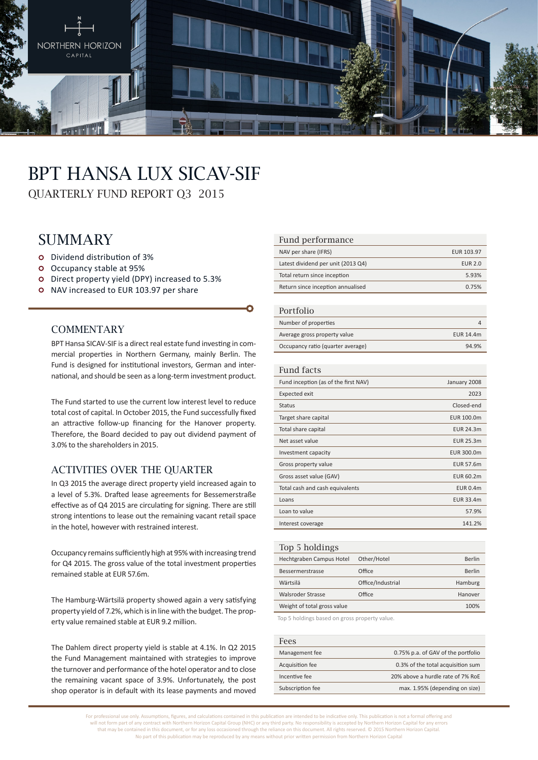

# BPT Hansa Lux SICAV-SIF

QUARTERLY FUND REPORT Q3 2015

# **SUMMARY**

- Dividend distribution of 3%
- Occupancy stable at 95%
- Direct property yield (DPY) increased to 5.3%
- o NAV increased to EUR 103.97 per share

#### **COMMENTARY**

BPT Hansa SICAV-SIF is a direct real estate fund investing in commercial properties in Northern Germany, mainly Berlin. The Fund is designed for institutional investors, German and international, and should be seen as a long-term investment product.

The Fund started to use the current low interest level to reduce total cost of capital. In October 2015, the Fund successfully fixed an attractive follow-up financing for the Hanover property. Therefore, the Board decided to pay out dividend payment of 3.0% to the shareholders in 2015.

### Activities over the quarter

In Q3 2015 the average direct property yield increased again to a level of 5.3%. Drafted lease agreements for Bessemerstraße effective as of Q4 2015 are circulating for signing. There are still strong intentions to lease out the remaining vacant retail space in the hotel, however with restrained interest.

Occupancy remains sufficiently high at 95% with increasing trend for Q4 2015. The gross value of the total investment properties remained stable at EUR 57.6m.

The Hamburg-Wärtsilä property showed again a very satisfying property yield of 7.2%, which is in line with the budget. The property value remained stable at EUR 9.2 million.

The Dahlem direct property yield is stable at 4.1%. In Q2 2015 the Fund Management maintained with strategies to improve the turnover and performance of the hotel operator and to close the remaining vacant space of 3.9%. Unfortunately, the post shop operator is in default with its lease payments and moved

#### Fund performance

| NAV per share (IFRS)               | EUR 103.97 |
|------------------------------------|------------|
| Latest dividend per unit (2013 Q4) | EUR 2.0    |
| Total return since inception       | 5.93%      |
| Return since inception annualised  | 0.75%      |

#### Portfolio

| $1 \cup 1 \cup 1 \cup 1$          |           |
|-----------------------------------|-----------|
| Number of properties              |           |
| Average gross property value      | EUR 14.4m |
| Occupancy ratio (quarter average) | 94.9%     |

#### Fund facts

| Fund inception (as of the first NAV) | January 2008     |
|--------------------------------------|------------------|
| Expected exit                        | 2023             |
| <b>Status</b>                        | Closed-end       |
| Target share capital                 | EUR 100.0m       |
| Total share capital                  | EUR 24.3m        |
| Net asset value                      | <b>EUR 25.3m</b> |
| Investment capacity                  | EUR 300.0m       |
| Gross property value                 | <b>EUR 57.6m</b> |
| Gross asset value (GAV)              | EUR 60.2m        |
| Total cash and cash equivalents      | <b>EUR 0.4m</b>  |
| Loans                                | EUR 33.4m        |
| Loan to value                        | 57.9%            |
| Interest coverage                    | 141.2%           |
|                                      |                  |

| Top 5 holdings              |                   |         |
|-----------------------------|-------------------|---------|
| Hechtgraben Campus Hotel    | Other/Hotel       | Berlin  |
| Bessermerstrasse            | Office            | Berlin  |
| Wärtsilä                    | Office/Industrial | Hamburg |
| Walsroder Strasse           | Office            | Hanover |
| Weight of total gross value |                   | 100%    |
|                             |                   |         |

Top 5 holdings based on gross property value.

| Fees             |                                    |
|------------------|------------------------------------|
| Management fee   | 0.75% p.a. of GAV of the portfolio |
| Acquisition fee  | 0.3% of the total acquisition sum  |
| Incentive fee    | 20% above a hurdle rate of 7% RoE  |
| Subscription fee | max. 1.95% (depending on size)     |

For professional use only. Assumptions, figures, and calculations contained in this publication are intended to be indicative only. This publication is not a formal offering and will not form part of any contract with Northern Horizon Capital Group (NHC) or any third party. No responsibility is accepted by Northern Horizon Capital for any errors that may be contained in this document, or for any loss occasioned through the reliance on this document. All rights reserved. © 2015 Northern Horizon Capital. No part of this publication may be reproduced by any means without prior written permission from Northern Horizon Capital